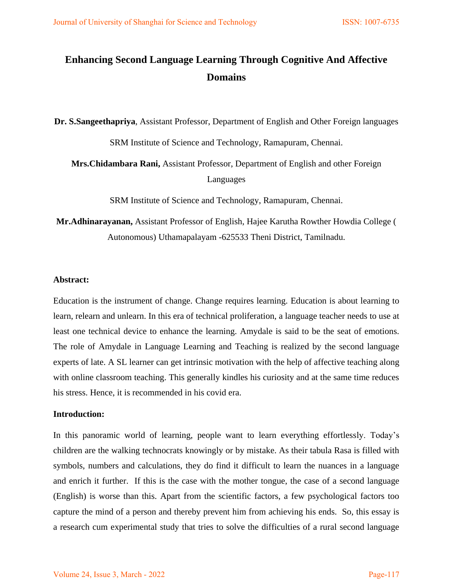# **Enhancing Second Language Learning Through Cognitive And Affective Domains**

**Dr. S.Sangeethapriya**, Assistant Professor, Department of English and Other Foreign languages

SRM Institute of Science and Technology, Ramapuram, Chennai.

**Mrs.Chidambara Rani,** Assistant Professor, Department of English and other Foreign Languages

SRM Institute of Science and Technology, Ramapuram, Chennai.

**Mr.Adhinarayanan,** Assistant Professor of English, Hajee Karutha Rowther Howdia College ( Autonomous) Uthamapalayam -625533 Theni District, Tamilnadu.

# **Abstract:**

Education is the instrument of change. Change requires learning. Education is about learning to learn, relearn and unlearn. In this era of technical proliferation, a language teacher needs to use at least one technical device to enhance the learning. Amydale is said to be the seat of emotions. The role of Amydale in Language Learning and Teaching is realized by the second language experts of late. A SL learner can get intrinsic motivation with the help of affective teaching along with online classroom teaching. This generally kindles his curiosity and at the same time reduces his stress. Hence, it is recommended in his covid era.

# **Introduction:**

In this panoramic world of learning, people want to learn everything effortlessly. Today"s children are the walking technocrats knowingly or by mistake. As their tabula Rasa is filled with symbols, numbers and calculations, they do find it difficult to learn the nuances in a language and enrich it further. If this is the case with the mother tongue, the case of a second language (English) is worse than this. Apart from the scientific factors, a few psychological factors too capture the mind of a person and thereby prevent him from achieving his ends. So, this essay is a research cum experimental study that tries to solve the difficulties of a rural second language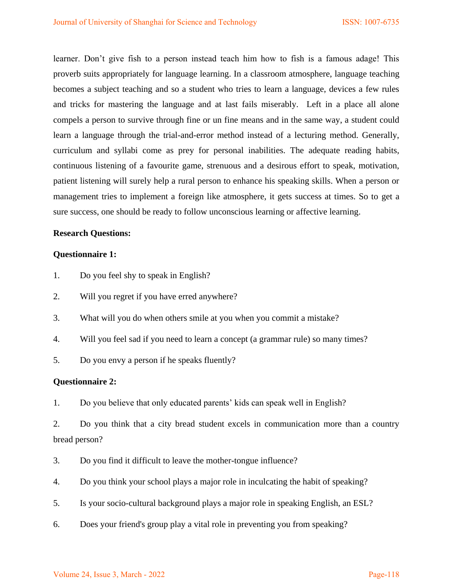learner. Don't give fish to a person instead teach him how to fish is a famous adage! This proverb suits appropriately for language learning. In a classroom atmosphere, language teaching becomes a subject teaching and so a student who tries to learn a language, devices a few rules and tricks for mastering the language and at last fails miserably. Left in a place all alone compels a person to survive through fine or un fine means and in the same way, a student could learn a language through the trial-and-error method instead of a lecturing method. Generally, curriculum and syllabi come as prey for personal inabilities. The adequate reading habits, continuous listening of a favourite game, strenuous and a desirous effort to speak, motivation, patient listening will surely help a rural person to enhance his speaking skills. When a person or management tries to implement a foreign like atmosphere, it gets success at times. So to get a sure success, one should be ready to follow unconscious learning or affective learning.

# **Research Questions:**

# **Questionnaire 1:**

- 1. Do you feel shy to speak in English?
- 2. Will you regret if you have erred anywhere?
- 3. What will you do when others smile at you when you commit a mistake?
- 4. Will you feel sad if you need to learn a concept (a grammar rule) so many times?
- 5. Do you envy a person if he speaks fluently?

# **Questionnaire 2:**

1. Do you believe that only educated parents' kids can speak well in English?

2. Do you think that a city bread student excels in communication more than a country bread person?

- 3. Do you find it difficult to leave the mother-tongue influence?
- 4. Do you think your school plays a major role in inculcating the habit of speaking?
- 5. Is your socio-cultural background plays a major role in speaking English, an ESL?
- 6. Does your friend's group play a vital role in preventing you from speaking?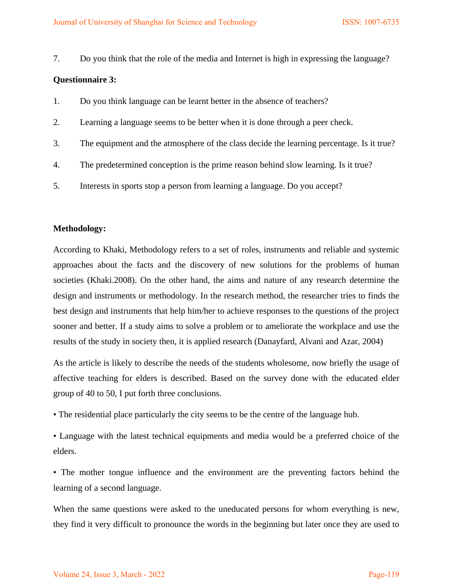7. Do you think that the role of the media and Internet is high in expressing the language?

#### **Questionnaire 3:**

- 1. Do you think language can be learnt better in the absence of teachers?
- 2. Learning a language seems to be better when it is done through a peer check.
- 3. The equipment and the atmosphere of the class decide the learning percentage. Is it true?
- 4. The predetermined conception is the prime reason behind slow learning. Is it true?
- 5. Interests in sports stop a person from learning a language. Do you accept?

#### **Methodology:**

According to Khaki, Methodology refers to a set of roles, instruments and reliable and systemic approaches about the facts and the discovery of new solutions for the problems of human societies (Khaki.2008). On the other hand, the aims and nature of any research determine the design and instruments or methodology. In the research method, the researcher tries to finds the best design and instruments that help him/her to achieve responses to the questions of the project sooner and better. If a study aims to solve a problem or to ameliorate the workplace and use the results of the study in society then, it is applied research (Danayfard, Alvani and Azar, 2004)

As the article is likely to describe the needs of the students wholesome, now briefly the usage of affective teaching for elders is described. Based on the survey done with the educated elder group of 40 to 50, I put forth three conclusions.

• The residential place particularly the city seems to be the centre of the language hub.

• Language with the latest technical equipments and media would be a preferred choice of the elders.

• The mother tongue influence and the environment are the preventing factors behind the learning of a second language.

When the same questions were asked to the uneducated persons for whom everything is new, they find it very difficult to pronounce the words in the beginning but later once they are used to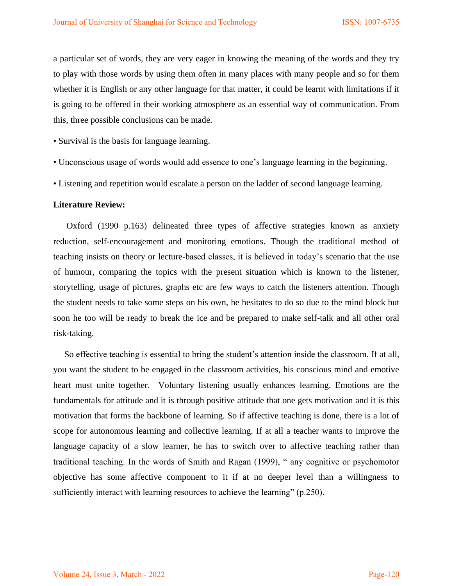a particular set of words, they are very eager in knowing the meaning of the words and they try to play with those words by using them often in many places with many people and so for them whether it is English or any other language for that matter, it could be learnt with limitations if it is going to be offered in their working atmosphere as an essential way of communication. From this, three possible conclusions can be made.

- Survival is the basis for language learning.
- Unconscious usage of words would add essence to one"s language learning in the beginning.
- Listening and repetition would escalate a person on the ladder of second language learning.

## **Literature Review:**

 Oxford (1990 p.163) delineated three types of affective strategies known as anxiety reduction, self-encouragement and monitoring emotions. Though the traditional method of teaching insists on theory or lecture-based classes, it is believed in today"s scenario that the use of humour, comparing the topics with the present situation which is known to the listener, storytelling, usage of pictures, graphs etc are few ways to catch the listeners attention. Though the student needs to take some steps on his own, he hesitates to do so due to the mind block but soon he too will be ready to break the ice and be prepared to make self-talk and all other oral risk-taking.

So effective teaching is essential to bring the student's attention inside the classroom. If at all, you want the student to be engaged in the classroom activities, his conscious mind and emotive heart must unite together. Voluntary listening usually enhances learning. Emotions are the fundamentals for attitude and it is through positive attitude that one gets motivation and it is this motivation that forms the backbone of learning. So if affective teaching is done, there is a lot of scope for autonomous learning and collective learning. If at all a teacher wants to improve the language capacity of a slow learner, he has to switch over to affective teaching rather than traditional teaching. In the words of Smith and Ragan (1999), " any cognitive or psychomotor objective has some affective component to it if at no deeper level than a willingness to sufficiently interact with learning resources to achieve the learning" (p.250).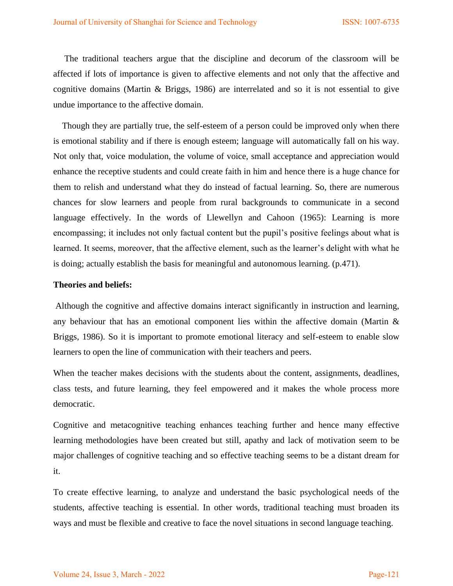The traditional teachers argue that the discipline and decorum of the classroom will be affected if lots of importance is given to affective elements and not only that the affective and cognitive domains (Martin & Briggs, 1986) are interrelated and so it is not essential to give undue importance to the affective domain.

 Though they are partially true, the self-esteem of a person could be improved only when there is emotional stability and if there is enough esteem; language will automatically fall on his way. Not only that, voice modulation, the volume of voice, small acceptance and appreciation would enhance the receptive students and could create faith in him and hence there is a huge chance for them to relish and understand what they do instead of factual learning. So, there are numerous chances for slow learners and people from rural backgrounds to communicate in a second language effectively. In the words of Llewellyn and Cahoon (1965): Learning is more encompassing; it includes not only factual content but the pupil's positive feelings about what is learned. It seems, moreover, that the affective element, such as the learner"s delight with what he is doing; actually establish the basis for meaningful and autonomous learning. (p.471).

#### **Theories and beliefs:**

Although the cognitive and affective domains interact significantly in instruction and learning, any behaviour that has an emotional component lies within the affective domain (Martin & Briggs, 1986). So it is important to promote emotional literacy and self-esteem to enable slow learners to open the line of communication with their teachers and peers.

When the teacher makes decisions with the students about the content, assignments, deadlines, class tests, and future learning, they feel empowered and it makes the whole process more democratic.

Cognitive and metacognitive teaching enhances teaching further and hence many effective learning methodologies have been created but still, apathy and lack of motivation seem to be major challenges of cognitive teaching and so effective teaching seems to be a distant dream for it.

To create effective learning, to analyze and understand the basic psychological needs of the students, affective teaching is essential. In other words, traditional teaching must broaden its ways and must be flexible and creative to face the novel situations in second language teaching.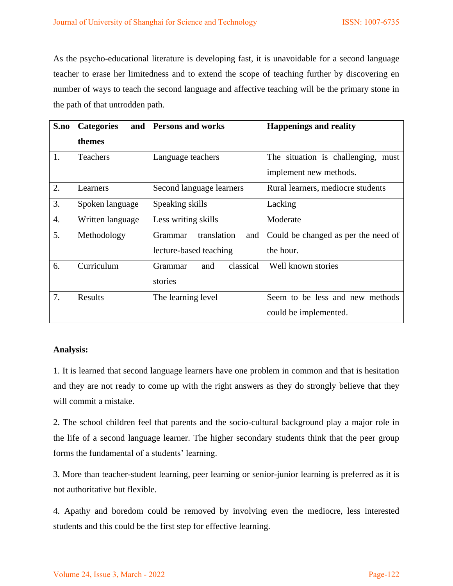As the psycho-educational literature is developing fast, it is unavoidable for a second language teacher to erase her limitedness and to extend the scope of teaching further by discovering en number of ways to teach the second language and affective teaching will be the primary stone in the path of that untrodden path.

| S.no             | and<br><b>Categories</b> | <b>Persons and works</b>             | <b>Happenings and reality</b>       |
|------------------|--------------------------|--------------------------------------|-------------------------------------|
|                  | themes                   |                                      |                                     |
| 1.               | <b>Teachers</b>          | Language teachers                    | The situation is challenging, must  |
|                  |                          |                                      | implement new methods.              |
| 2.               | Learners                 | Second language learners             | Rural learners, mediocre students   |
| 3.               | Spoken language          | Speaking skills                      | Lacking                             |
| $\overline{4}$ . | Written language         | Less writing skills                  | Moderate                            |
| 5.               | Methodology              | translation<br>and<br><b>Grammar</b> | Could be changed as per the need of |
|                  |                          | lecture-based teaching               | the hour.                           |
| 6.               | Curriculum               | classical<br>Grammar<br>and          | Well known stories                  |
|                  |                          | stories                              |                                     |
| 7.               | Results                  | The learning level                   | Seem to be less and new methods     |
|                  |                          |                                      | could be implemented.               |

# **Analysis:**

1. It is learned that second language learners have one problem in common and that is hesitation and they are not ready to come up with the right answers as they do strongly believe that they will commit a mistake.

2. The school children feel that parents and the socio-cultural background play a major role in the life of a second language learner. The higher secondary students think that the peer group forms the fundamental of a students' learning.

3. More than teacher-student learning, peer learning or senior-junior learning is preferred as it is not authoritative but flexible.

4. Apathy and boredom could be removed by involving even the mediocre, less interested students and this could be the first step for effective learning.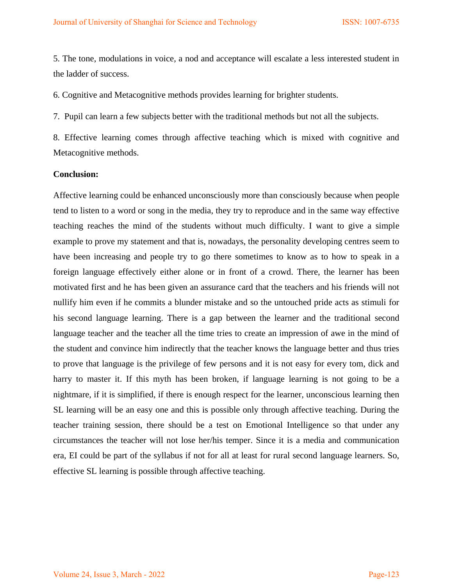5. The tone, modulations in voice, a nod and acceptance will escalate a less interested student in the ladder of success.

6. Cognitive and Metacognitive methods provides learning for brighter students.

7. Pupil can learn a few subjects better with the traditional methods but not all the subjects.

8. Effective learning comes through affective teaching which is mixed with cognitive and Metacognitive methods.

#### **Conclusion:**

Affective learning could be enhanced unconsciously more than consciously because when people tend to listen to a word or song in the media, they try to reproduce and in the same way effective teaching reaches the mind of the students without much difficulty. I want to give a simple example to prove my statement and that is, nowadays, the personality developing centres seem to have been increasing and people try to go there sometimes to know as to how to speak in a foreign language effectively either alone or in front of a crowd. There, the learner has been motivated first and he has been given an assurance card that the teachers and his friends will not nullify him even if he commits a blunder mistake and so the untouched pride acts as stimuli for his second language learning. There is a gap between the learner and the traditional second language teacher and the teacher all the time tries to create an impression of awe in the mind of the student and convince him indirectly that the teacher knows the language better and thus tries to prove that language is the privilege of few persons and it is not easy for every tom, dick and harry to master it. If this myth has been broken, if language learning is not going to be a nightmare, if it is simplified, if there is enough respect for the learner, unconscious learning then SL learning will be an easy one and this is possible only through affective teaching. During the teacher training session, there should be a test on Emotional Intelligence so that under any circumstances the teacher will not lose her/his temper. Since it is a media and communication era, EI could be part of the syllabus if not for all at least for rural second language learners. So, effective SL learning is possible through affective teaching.